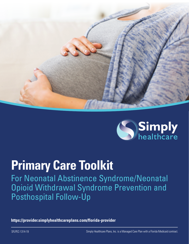



# **Primary Care Toolkit**

For Neonatal Abstinence Syndrome/Neonatal Opioid Withdrawal Syndrome Prevention and Posthospital Follow-Up

**<https://provider.simplyhealthcareplans.com/florida-provider>**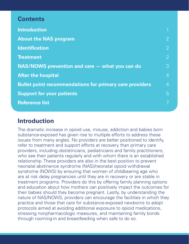# **Contents**

| <b>Introduction</b>                                            |                |
|----------------------------------------------------------------|----------------|
| <b>About the NAS program</b>                                   | $\overline{2}$ |
| <b>Identification</b>                                          | $\overline{2}$ |
| <b>Treatment</b>                                               | $\overline{2}$ |
| NAS/NOWS prevention and care – what you can do                 | 3              |
| <b>After the hospital</b>                                      | 4              |
| <b>Bullet point recommendations for primary care providers</b> | $\overline{4}$ |
| <b>Support for your patients</b>                               | 5              |
| <b>Reference list</b>                                          |                |
|                                                                |                |

# **Introduction**

The dramatic increase in opioid use, misuse, addiction and babies born substance-exposed has given rise to multiple efforts to address these issues from many angles. No providers are better positioned to identify, refer to treatment and support efforts at recovery than primary care providers, including obstetricians, pediatricians and family practitioners, who see their patients regularly and with whom there is an established relationship. These providers are also in the best position to prevent neonatal abstinence syndrome (NAS)/neonatal opioid withdrawal syndrome (NOWS) by ensuring that women of childbearing age who are at risk delay pregnancies until they are in recovery or are stable in treatment programs. Providers do this by offering family planning options and education about how mothers can positively impact the outcomes for their babies should they become pregnant. Lastly, by understanding the nature of NAS/NOWS, providers can encourage the facilities in which they practice and those that care for substance-exposed newborns to adopt protocols aimed at avoiding additional exposure to opioid medications, stressing nonpharmacologic measures, and maintaining family bonds through rooming-in and breastfeeding when safe to do so.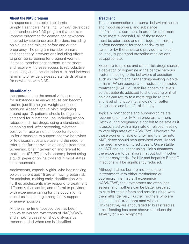# **About the NAS program**

In response to the opioid epidemic, Simply Healthcare Plans, Inc. (Simply) developed a comprehensive NAS program that seeks to improve outcomes for women and newborns affected by substance use disorders, including opioid use and misuse before and during pregnancy. The program includes primary and secondary interventions including efforts to prioritize screening for pregnant women, increase member engagement in treatment and recovery, increase access to reproductive counseling and preconception care, and increase familiarity of evidence-based standards of care for newborns with NAS.

# **Identification**

Incorporated into the annual visit, screening for substance use and/or abuse can become routine just like height, weight and blood pressure. At each annual visit, beginning around age 12, patients should be regularly screened for substance use, including alcohol, tobacco and illicit drugs, using a standardized screening tool. After screening, whether positive for use or not, an opportunity opens up for discussion to support positive behaviors or to discuss substance use and the need for referral for further evaluation and/or treatment. Screening, brief intervention and referral to treatment (SBIRT) may be accomplished using a quick paper or online tool and in most states is reimbursable.

Adolescents, especially girls, who begin taking opioids before age 18 are at much greater risk for addiction, making early identification vital. Further, adolescents may respond to treatment differently than adults, and referral to providers with experience caring for this population is crucial as is ensuring strong family support whenever possible.

At the same time, tobacco use has been shown to worsen symptoms of NAS/NOWS, and smoking cessation should always be recommended when use is identified.

#### **Treatment**

The interconnection of trauma, behavioral health and mood disorders, and substance use/misuse is common. In order for treatment to be most successful, all of these needs must be addressed and met together, making it often necessary for those at risk to be cared for by therapists and providers who can counsel, support and prescribe medications as appropriate.

Exposure to opioids and other illicit drugs causes a depletion of dopamine in the central nervous system, leading to the behaviors of addiction such as craving and further drug-seeking in spite of harm. When appropriate, medication assisted treatment (MAT) will stabilize dopamine levels so that patients addicted to short-acting or illicit opioids can return to a more regular routine and level of functioning, allowing for better compliance and benefit of therapy.

Typically, methadone and buprenorphine are recommended for MAT in pregnant women. Detox during pregnancy is not felt to be safe as it is associated with a high rate of relapse, leading to very high rates of NAS/NOWS. However, for those women unable or unwilling to enter into MAT, detox should be supervised carefully and the pregnancy monitored closely. Once stable on MAT and no longer using illicit substances, the exposure to behaviors that put both mother and her baby at risk for HIV and hepatitis B and C infections will be significantly reduced.

Although babies born to mothers stable in treatment with either methadone or buprenorphine may still experience NAS/NOWS, their symptoms are often less severe, and mothers can be better prepared to care for their infants and remain united with them after delivery. Further, mothers who are stable in their treatment (and who are HIV-negative) are encouraged to breastfeed as breastfeeding has been shown to reduce the severity of NAS symptoms.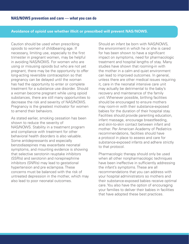#### **Avoidance of opioid use whether illicit or prescribed will prevent NAS/NOWS.**

Caution should be used when prescribing opioids to women of childbearing age. If necessary, limiting use, especially to the first trimester in pregnant women, may be helpful in avoiding NAS/NOWS. For women who are using or misusing opioids but who are not yet pregnant, there may be the opportunity to offer long-acting reversible contraception so that pregnancy can be delayed until the woman has had the opportunity to enter or complete treatment for a substance use disorder. Should a woman become pregnant while using opioid substances, there are still many opportunities to decrease the risk and severity of NAS/NOWS. Pregnancy is the greatest motivator for women to amend their behaviors.

As stated earlier, smoking cessation has been shown to reduce the severity of NAS/NOWS. Stability in a treatment program and compliance with treatment for other behavioral health disorders is also valuable. Some antidepressants and especially benzodiazepines may exacerbate neonatal symptoms, and mounting evidence is showing that selective serotonin reuptake inhibitors (SSRIs) and serotonin and norepinephrine inhibitors (SNRIs) may lead to gestational hypertension and pre eclampsia. These concerns must be balanced with the risk of untreated depression in the mother, which may also lead to poor neonatal outcomes.

Should an infant be born with NAS/NOWS, the environment in which he or she is cared for has been shown to have a significant impact on symptoms, need for pharmacologic treatment and hospital lengths of stay. Many studies have shown that rooming-in with the mother in a calm and quiet environment can lead to improved outcomes. In general, unless there are other medical issues requiring it, care in the neonatal intensive care unit may actually be detrimental to the baby's recovery and maintenance of the family unit. Whenever possible, birthing facilities should be encouraged to ensure mothers may room-in with their substance-exposed babies for the duration of their hospital stay. Facilities should provide parenting education, infant massage, encourage breastfeeding, and skin-to-skin contact between infant and mother. Per American Academy of Pediatrics recommendations, facilities should have a protocol in place to assess and care for substance-exposed infants and adhere strictly to that protocol.

Pharmacologic therapy should only be used when all other nonpharmacologic techniques have been ineffective in sufficiently addressing the infant's symptoms. These are all recommendations that you can address with your hospital administrators so mothers and their substance-exposed babies receive optimal care. You also have the option of encouraging your families to deliver their babies in facilities that have adopted these best practices.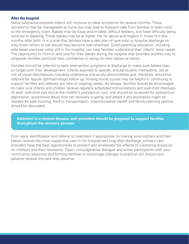# **After the hospital**

Many substance-exposed infants will continue to have symptoms for several months. These symptoms may be manageable at home but may lead to frequent calls from families or even visits to the emergency room. Babies may be fussy and irritable, difficult feeders, and have difficulty being soothed or sleeping. These babies may be at higher risk for abuse and neglect in those first few months after birth. It is crucial that families have a safe plan of care prior to hospital discharge so they know whom to call should they become overwhelmed. Good parenting education, including safe sleep practices while still in the hospital, can help families understand their infants' extra needs. The opportunity to room-in and care for their babies during the hospital stay provides another way to empower families and build their confidence in caring for their babies at home.

Families should be referred to early intervention programs at discharge to make sure babies stay on target with their development. Infants exposed to opioids, and particularly methadone, are at risk of visual disturbances including strabismus and acuity abnormalities and, therefore, should be referred for regular ophthalmologic follow up. Visiting home nurses may be helpful in continuing to support families and address any new or ongoing needs. As always, families should be encouraged to make sure infants and children receive regularly scheduled immunizations and well-child checkups. At each well-child visit and at the mother's postpartum visit, she should be screened for postpartum depression; questioned about how her recovery is going; and asked if any assistance might be needed for safe housing, food or transportation. Interconception health and family planning options should be discussed.

**Addiction is a chronic disease, and providers should be prepared to support families throughout the recovery process.**

From early identification and referral to treatment if appropriate, to making sure mothers and their babies receive the most supportive care in the hospital and long after discharge, primary care providers have the best opportunities to prevent and ameliorate the effects of substance exposure on mothers and their newborns. Open, nonjudgmental dialogue and active participation with your community resources and birthing facilities to encourage changes to practice will ensure your patients receive the care they deserve.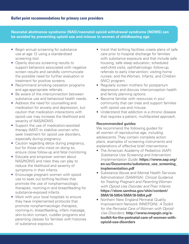**Neonatal abstinence syndrome (NAS)/neonatal opioid withdrawal syndrome (NOWS) can be avoided by preventing opioid use and misuse in women of childbearing age.**

- Begin annual screening for substance use at age 12 using a standardized screening tool.
- Openly discuss screening results to support behaviors associated with negative screen results and candidly communicate the possible need for further evaluation or treatment for positive screens.
- Recommend smoking cessation programs and age-appropriate referrals.
- Be aware of the interconnection between substance use and behavioral health needs.
- Address the need for counselling and medication for anxiety and depression, but caution that medication interactions with opioid use may increase the likelihood and severity of NAS/NOWS.
- Support the use of medication-assisted therapy (MAT) to stabilize women who seek treatment for opioid use disorders, especially during pregnancy.
- Caution regarding detox during pregnancy, but for those who insist on doing so, ensure close follow-up and fetal monitoring.
- Educate and empower women about NAS/NOWS and roles they can play to reduce the likelihood and severity of symptoms in their infants.
- Encourage pregnant women with opioid use to seek out birthing facilities that promote the use of nonpharmacologic therapies, rooming-in and breastfeeding for substance-exposed infants.
- Work with your local hospitals to ensure they have implemented protocols that promote nonpharmacologic therapies, rooming-in, breastfeeding, infant massage, skin-to-skin contact, cuddler programs and parenting classes for families with histories of substance exposure.
- Insist that birthing facilities create plans of safe care prior to hospital discharge for families with substance exposure and that include safe housing; safe sleep education; scheduled well-child visits; ophthalmologic follow-up; referrals to early intervention; visiting home nurses; and the Women, Infants, and Children (WIC) program.
- Regularly screen mothers for postpartum depression and discuss interconception health and family planning options.
- Become familiar with resources in your community that can treat and support families with opioid use and misuse.
- Understand that addiction is a chronic disease that requires a patient, multifaceted approach.

# **Recommended guides**

We recommend the following guides for all women of reproductive age, including adolescents. They contain complete action plans, examples of screening instruments and explanations of effective brief interventions:

- The American Academy of Pediatrics (AAP): *Substance Use Screening and Intervention Implementation Guide*: **[https://www.aap.org/](https://www.aap.org/en-us/Documents/substance_use_screening_implementation.pdf) [en-us/Documents/substance\\_use\\_screening\\_](https://www.aap.org/en-us/Documents/substance_use_screening_implementation.pdf) [implementation.pdf](https://www.aap.org/en-us/Documents/substance_use_screening_implementation.pdf)**
- Substance Abuse and Mental Health Services Administration (SAMHSA): *Clinical Guidance for Treating Pregnant and Parenting Women with Opioid Use Disorder and Their Infants*: **[https://store.samhsa.gov/shin/content/](https://store.samhsa.gov/shin/content/SMA18-5054/SMA18-5054.pdf) [SMA18-5054/SMA18-5054.pdf](https://store.samhsa.gov/shin/content/SMA18-5054/SMA18-5054.pdf)**
- Northern New England Perinatal Quality Improvement Network (NNEPQIN): *A Toolkit for the Perinatal Care of Women with Opioid Use Disorders*: **[http://www.nnepqin.org/a](http://www.nnepqin.org/a-toolkit-for-the-perinatal-care-of-women-with-opioid-use-disorders)[toolkit-for-the-perinatal-care-of-women-with](http://www.nnepqin.org/a-toolkit-for-the-perinatal-care-of-women-with-opioid-use-disorders)[opioid-use-disorders](http://www.nnepqin.org/a-toolkit-for-the-perinatal-care-of-women-with-opioid-use-disorders)**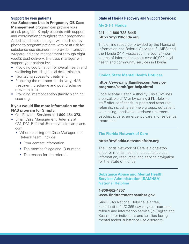# **Support for your patients**

Our **Substance Use in Pregnancy OB Case Management** program can provide your at-risk pregnant Simply patients with support and coordination throughout their pregnancy. A dedicated case manager will reach out by phone to pregnant patients with or at risk for substance use disorders to provide intensive, wraparound case management through eight weeks post-delivery. The case manager will support your patient by:

- Providing coordination for overall health and wellbeing including social determinants.
- Facilitating access to treatment.
- Preparing the member for delivery, NAS treatment, discharge and post discharge newborn care.
- Providing interconception (family planning) coaching.

# **If you would like more information on the NAS program for Simply:**

- Call Provider Services at **1-800-454-373.**
- Email Case Management Referrals at CM\_DM\_Referrals@simplyhealthcareplans. com.
	- When emailing the Case Management Referral team, include:
		- Your contact information.
		- The member's age and ID number.
		- The reason for the referral.

# **State of Florida Recovery and Support Services:**

# **My 2-1-1 Florida**

# **211** or **1-866-728-8445 <http://my211florida.org>**

This online resource, provided by the Florida of Information and Referral Services (FLAIRS) and the Florida 2-1-1 Association, is your 24-hour source of information about over 40,000 local health and community services in Florida.

# **Florida State Mental Health Hotlines**

# **[https://www.myflfamilies.com/service](https://www.myflfamilies.com/service-programs/samh/get-help.shtml)[programs/samh/get-help.shtml](https://www.myflfamilies.com/service-programs/samh/get-help.shtml)**

Local Mental Health Authority Crisis Hotlines are available 24/7 or by calling **211**. Helpline staff offer confidential support and resource referrals, including self-help groups, outpatient counseling, medication assisted treatment, psychiatric care, emergency care and residential treatment.

# **The Florida Network of Care**

### **<http://myflorida.networkofcare.org>**

The Florida Network of Care is a one-stop shop for mental health and substance use information, resources, and service navigation for the State of Florida

#### **Substance Abuse and Mental Health Services Administration (SAMHSA) National Helpline**

#### **1-800-662-4357 [www.findtreatment.samhsa.gov](http://www.findtreatment.samhsa.gov)**

SAMHSA's National Helpline is a free, confidential, 24/7, 365-days-a-year treatment referral and information service (in English and Spanish) for individuals and families facing mental and/or substance use disorders.